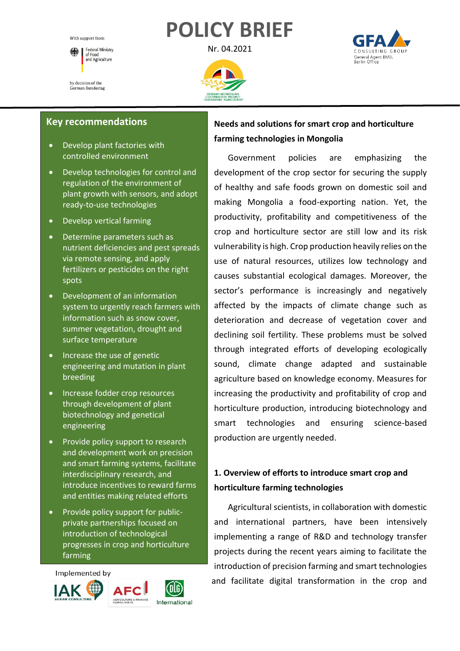# **POLICY BRIEF**

With support from Federal Ministry<br>of Food 除 or Food<br>and Agriculture by decision of the

German Bundestag

Nr. 04.2021





## **Key recommendations**

- Develop plant factories with controlled environment
- Develop technologies for control and regulation of the environment of plant growth with sensors, and adopt ready-to-use technologies
- Develop vertical farming
- Determine parameters such as nutrient deficiencies and pest spreads via remote sensing, and apply fertilizers or pesticides on the right spots
- Development of an information system to urgently reach farmers with information such as snow cover, summer vegetation, drought and surface temperature
- Increase the use of genetic engineering and mutation in plant breeding
- Increase fodder crop resources through development of plant biotechnology and genetical engineering
- Provide policy support to research and development work on precision and smart farming systems, facilitate interdisciplinary research, and introduce incentives to reward farms and entities making related efforts
- Provide policy support for publicprivate partnerships focused on introduction of technological progresses in crop and horticulture farming



## **Needs and solutions for smart crop and horticulture farming technologies in Mongolia**

Government policies are emphasizing the development of the crop sector for securing the supply of healthy and safe foods grown on domestic soil and making Mongolia a food-exporting nation. Yet, the productivity, profitability and competitiveness of the crop and horticulture sector are still low and its risk vulnerability is high. Crop production heavily relies on the use of natural resources, utilizes low technology and causes substantial ecological damages. Moreover, the sector's performance is increasingly and negatively affected by the impacts of climate change such as deterioration and decrease of vegetation cover and declining soil fertility. These problems must be solved through integrated efforts of developing ecologically sound, climate change adapted and sustainable agriculture based on knowledge economy. Measures for increasing the productivity and profitability of crop and horticulture production, introducing biotechnology and smart technologies and ensuring science-based production are urgently needed.

## **1. Overview of efforts to introduce smart crop and horticulture farming technologies**

Agricultural scientists, in collaboration with domestic and international partners, have been intensively implementing a range of R&D and technology transfer projects during the recent years aiming to facilitate the introduction of precision farming and smart technologies and facilitate digital transformation in the crop and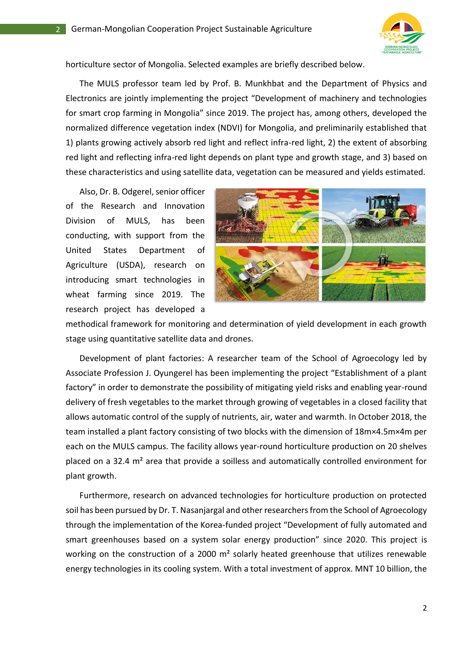

horticulture sector of Mongolia. Selected examples are briefly described below.

The MULS professor team led by Prof. B. Munkhbat and the Department of Physics and Electronics are jointly implementing the project "Development of machinery and technologies for smart crop farming in Mongolia" since 2019. The project has, among others, developed the normalized difference vegetation index (NDVI) for Mongolia, and preliminarily established that 1) plants growing actively absorb red light and reflect infra-red light, 2) the extent of absorbing red light and reflecting infra-red light depends on plant type and growth stage, and 3) based on these characteristics and using satellite data, vegetation can be measured and yields estimated.

Also, Dr. B. Odgerel, senior officer of the Research and Innovation Division of MULS, has been conducting, with support from the United States Department of Agriculture (USDA), research on introducing smart technologies in wheat farming since 2019. The research project has developed a



methodical framework for monitoring and determination of yield development in each growth stage using quantitative satellite data and drones.

Development of plant factories: A researcher team of the School of Agroecology led by Associate Profession J. Oyungerel has been implementing the project "Establishment of a plant factory" in order to demonstrate the possibility of mitigating yield risks and enabling year-round delivery of fresh vegetables to the market through growing of vegetables in a closed facility that allows automatic control of the supply of nutrients, air, water and warmth. In October 2018, the team installed a plant factory consisting of two blocks with the dimension of 18m×4.5m×4m per each on the MULS campus. The facility allows year-round horticulture production on 20 shelves placed on a 32.4 m² area that provide a soilless and automatically controlled environment for plant growth.

Furthermore, research on advanced technologies for horticulture production on protected soil has been pursued by Dr. T. Nasanjargal and other researchers from the School of Agroecology through the implementation of the Korea-funded project "Development of fully automated and smart greenhouses based on a system solar energy production" since 2020. This project is working on the construction of a 2000 m<sup>2</sup> solarly heated greenhouse that utilizes renewable energy technologies in its cooling system. With a total investment of approx. MNT 10 billion, the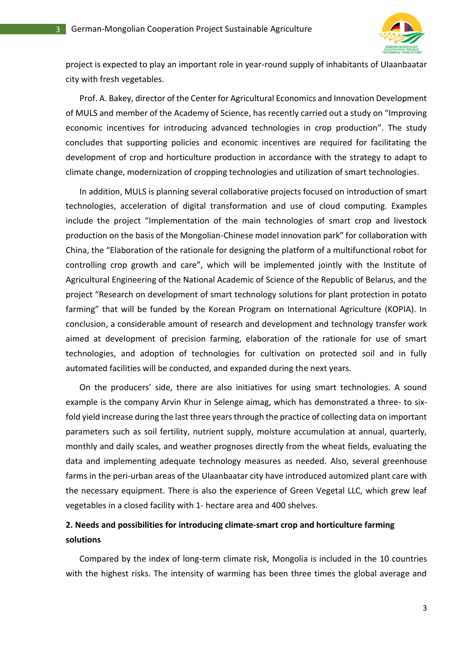

project is expected to play an important role in year-round supply of inhabitants of UIaanbaatar city with fresh vegetables.

Prof. A. Bakey, director of the Center for Agricultural Economics and Innovation Development of MULS and member of the Academy of Science, has recently carried out a study on "Improving economic incentives for introducing advanced technologies in crop production". The study concludes that supporting policies and economic incentives are required for facilitating the development of crop and horticulture production in accordance with the strategy to adapt to climate change, modernization of cropping technologies and utilization of smart technologies.

In addition, MULS is planning several collaborative projects focused on introduction of smart technologies, acceleration of digital transformation and use of cloud computing. Examples include the project "Implementation of the main technologies of smart crop and livestock production on the basis of the Mongolian-Chinese model innovation park" for collaboration with China, the "Elaboration of the rationale for designing the platform of a multifunctional robot for controlling crop growth and care", which will be implemented jointly with the Institute of Agricultural Engineering of the National Academic of Science of the Republic of Belarus, and the project "Research on development of smart technology solutions for plant protection in potato farming" that will be funded by the Korean Program on International Agriculture (KOPIA). In conclusion, a considerable amount of research and development and technology transfer work aimed at development of precision farming, elaboration of the rationale for use of smart technologies, and adoption of technologies for cultivation on protected soil and in fully automated facilities will be conducted, and expanded during the next years.

On the producers' side, there are also initiatives for using smart technologies. A sound example is the company Arvin Khur in Selenge aimag, which has demonstrated a three- to sixfold yield increase during the last three years through the practice of collecting data on important parameters such as soil fertility, nutrient supply, moisture accumulation at annual, quarterly, monthly and daily scales, and weather prognoses directly from the wheat fields, evaluating the data and implementing adequate technology measures as needed. Also, several greenhouse farms in the peri-urban areas of the Ulaanbaatar city have introduced automized plant care with the necessary equipment. There is also the experience of Green Vegetal LLC, which grew leaf vegetables in a closed facility with 1- hectare area and 400 shelves.

## **2. Needs and possibilities for introducing climate-smart crop and horticulture farming solutions**

Compared by the index of long-term climate risk, Mongolia is included in the 10 countries with the highest risks. The intensity of warming has been three times the global average and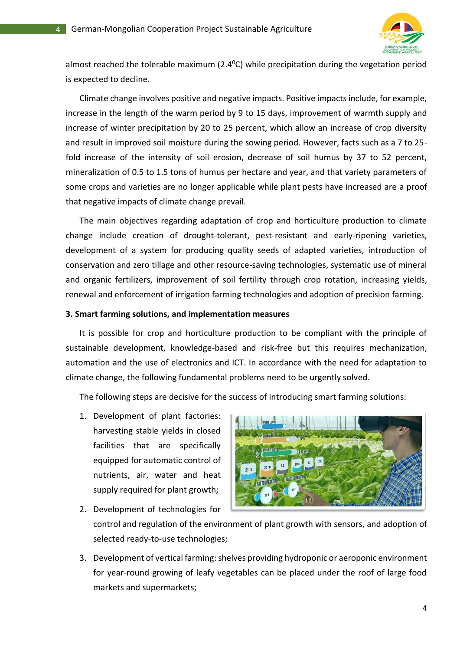

almost reached the tolerable maximum ( $2.4^{\circ}$ C) while precipitation during the vegetation period is expected to decline.

Climate change involves positive and negative impacts. Positive impacts include, for example, increase in the length of the warm period by 9 to 15 days, improvement of warmth supply and increase of winter precipitation by 20 to 25 percent, which allow an increase of crop diversity and result in improved soil moisture during the sowing period. However, facts such as a 7 to 25 fold increase of the intensity of soil erosion, decrease of soil humus by 37 to 52 percent, mineralization of 0.5 to 1.5 tons of humus per hectare and year, and that variety parameters of some crops and varieties are no longer applicable while plant pests have increased are a proof that negative impacts of climate change prevail.

The main objectives regarding adaptation of crop and horticulture production to climate change include creation of drought-tolerant, pest-resistant and early-ripening varieties, development of a system for producing quality seeds of adapted varieties, introduction of conservation and zero tillage and other resource-saving technologies, systematic use of mineral and organic fertilizers, improvement of soil fertility through crop rotation, increasing yields, renewal and enforcement of irrigation farming technologies and adoption of precision farming.

#### **3. Smart farming solutions, and implementation measures**

It is possible for crop and horticulture production to be compliant with the principle of sustainable development, knowledge-based and risk-free but this requires mechanization, automation and the use of electronics and ICT. In accordance with the need for adaptation to climate change, the following fundamental problems need to be urgently solved.

The following steps are decisive for the success of introducing smart farming solutions:

1. Development of plant factories: harvesting stable yields in closed facilities that are specifically equipped for automatic control of nutrients, air, water and heat supply required for plant growth;



- 2. Development of technologies for control and regulation of the environment of plant growth with sensors, and adoption of selected ready-to-use technologies;
- 3. Development of vertical farming: shelves providing hydroponic or aeroponic environment for year-round growing of leafy vegetables can be placed under the roof of large food markets and supermarkets;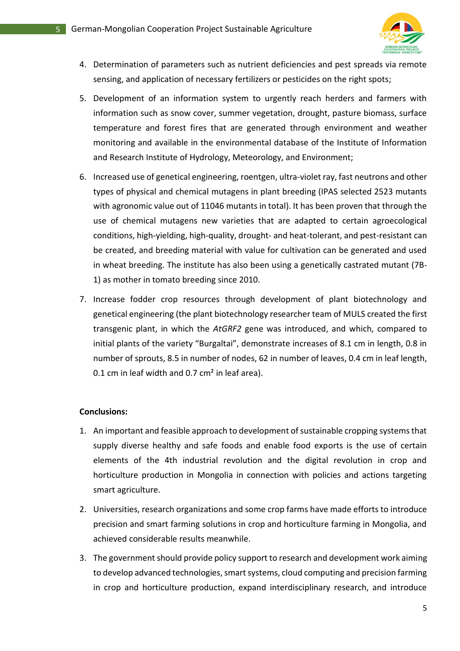

- 4. Determination of parameters such as nutrient deficiencies and pest spreads via remote sensing, and application of necessary fertilizers or pesticides on the right spots;
- 5. Development of an information system to urgently reach herders and farmers with information such as snow cover, summer vegetation, drought, pasture biomass, surface temperature and forest fires that are generated through environment and weather monitoring and available in the environmental database of the Institute of Information and Research Institute of Hydrology, Meteorology, and Environment;
- 6. Increased use of genetical engineering, roentgen, ultra-violet ray, fast neutrons and other types of physical and chemical mutagens in plant breeding (IPAS selected 2523 mutants with agronomic value out of 11046 mutants in total). It has been proven that through the use of chemical mutagens new varieties that are adapted to certain agroecological conditions, high-yielding, high-quality, drought- and heat-tolerant, and pest-resistant can be created, and breeding material with value for cultivation can be generated and used in wheat breeding. The institute has also been using a genetically castrated mutant (7B-1) as mother in tomato breeding since 2010.
- 7. Increase fodder crop resources through development of plant biotechnology and genetical engineering (the plant biotechnology researcher team of MULS created the first transgenic plant, in which the *AtGRF2* gene was introduced, and which, compared to initial plants of the variety "Burgaltai", demonstrate increases of 8.1 cm in length, 0.8 in number of sprouts, 8.5 in number of nodes, 62 in number of leaves, 0.4 cm in leaf length, 0.1 cm in leaf width and 0.7 cm<sup>2</sup> in leaf area).

#### **Conclusions:**

- 1. An important and feasible approach to development of sustainable cropping systems that supply diverse healthy and safe foods and enable food exports is the use of certain elements of the 4th industrial revolution and the digital revolution in crop and horticulture production in Mongolia in connection with policies and actions targeting smart agriculture.
- 2. Universities, research organizations and some crop farms have made efforts to introduce precision and smart farming solutions in crop and horticulture farming in Mongolia, and achieved considerable results meanwhile.
- 3. The government should provide policy support to research and development work aiming to develop advanced technologies, smart systems, cloud computing and precision farming in crop and horticulture production, expand interdisciplinary research, and introduce

5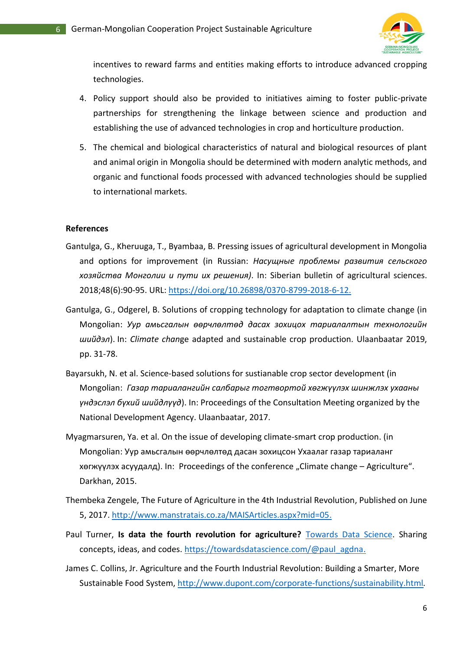

incentives to reward farms and entities making efforts to introduce advanced cropping technologies.

- 4. Policy support should also be provided to initiatives aiming to foster public-private partnerships for strengthening the linkage between science and production and establishing the use of advanced technologies in crop and horticulture production.
- 5. The chemical and biological characteristics of natural and biological resources of plant and animal origin in Mongolia should be determined with modern analytic methods, and organic and functional foods processed with advanced technologies should be supplied to international markets.

#### **References**

- Gantulga, G., Kheruuga, T., Byambaa, B. Pressing issues of agricultural development in Mongolia and options for improvement (in Russian: *Насущные проблемы развития сельского хозяйства Монголии и пути их решения)*. In: Siberian bulletin of agricultural sciences. 2018;48(6):90-95. URL: [https://doi.org/10.26898/0370-8799-2018-6-12.](https://doi.org/10.26898/0370-8799-2018-6-12)
- Gantulga, G., Odgerel, B. Solutions of cropping technology for adaptation to climate change (in Mongolian: *Уур амьсгалын өөрчлөлтөд дасах зохицох тариалалтын технологийн шийдэл*). In: *Climate chan*ge adapted and sustainable crop production. Ulaanbaatar 2019, pp. 31-78.
- Bayarsukh, N. et al. Science-based solutions for sustianable crop sector development (in Mongolian: *Газар тариалангийн салбарыг тогтвортой хөгжүүлэх шинжлэх ухааны үндэслэл бүхий шийдлүүд*). In: Proceedings of the Consultation Meeting organized by the National Development Agency. Ulaanbaatar, 2017.
- Myagmarsuren, Ya. et al. On the issue of developing climate-smart crop production. (in Mongolian: Уур амьсгалын өөрчлөлтөд дасан зохицсон Ухаалаг газар тариаланг хөгжүүлэх асуудалд). In: Proceedings of the conference "Climate change – Agriculture". Darkhan, 2015.
- Thembeka Zengele, The Future of Agriculture in the 4th Industrial Revolution, Published on June 5, 2017. [http://www.manstratais.co.za/MAISArticles.aspx?mid=05.](http://www.manstratais.co.za/MAISArticles.aspx?mid=05)
- Paul Turner, **Is data the fourth revolution for agriculture?** [Towards Data Science.](https://towardsdatascience.com/?source=collection_popover) Sharing concepts, ideas, and codes. [https://towardsdatascience.com/@paul\\_agdna.](https://towardsdatascience.com/@paul_agdna)
- James C. Collins, Jr. Agriculture and the Fourth Industrial Revolution: Building a Smarter, More Sustainable Food System,<http://www.dupont.com/corporate-functions/sustainability.html>*.*